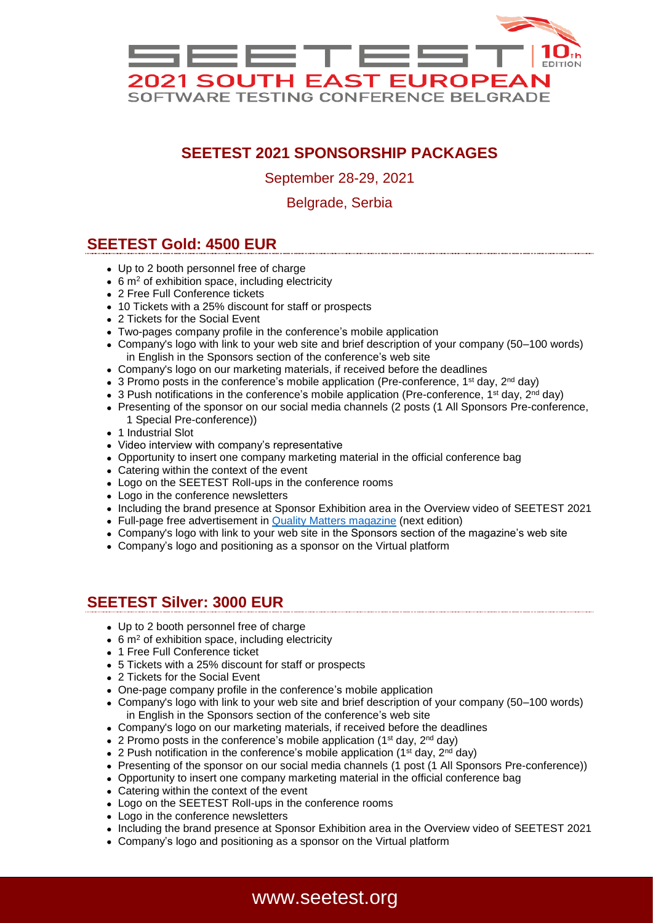

# **SEETEST 2021 SPONSORSHIP PACKAGES**

September 28-29, 2021

Belgrade, Serbia

### **SEETEST Gold: 4500 EUR**

- Up to 2 booth personnel free of charge
- 6 m<sup>2</sup> of exhibition space, including electricity
- 2 Free Full Conference tickets
- 10 Tickets with a 25% discount for staff or prospects
- 2 Tickets for the Social Event
- Two-pages company profile in the conference's mobile application
- Company's logo with link to your web site and brief description of your company (50–100 words) in English in the Sponsors section of the conference's web site
- Company's logo on our marketing materials, if received before the deadlines
- 3 Promo posts in the conference's mobile application (Pre-conference, 1<sup>st</sup> day, 2<sup>nd</sup> day)
- 3 Push notifications in the conference's mobile application (Pre-conference, 1<sup>st</sup> day, 2<sup>nd</sup> day)
- Presenting of the sponsor on our social media channels (2 posts (1 All Sponsors Pre-conference, 1 Special Pre-conference))
- 1 Industrial Slot
- Video interview with company's representative
- Opportunity to insert one company marketing material in the official conference bag
- Catering within the context of the event
- Logo on the SEETEST Roll-ups in the conference rooms
- Logo in the conference newsletters
- Including the brand presence at Sponsor Exhibition area in the Overview video of SEETEST 2021
- Full-page free advertisement in [Quality Matters magazine](https://www.quality-matters.org/) (next edition)
- Company's logo with link to your web site in the Sponsors section of the magazine's web site
- Company's logo and positioning as a sponsor on the Virtual platform

#### **SEETEST Silver: 3000 EUR**

- Up to 2 booth personnel free of charge
- $\bullet$  6 m<sup>2</sup> of exhibition space, including electricity
- 1 Free Full Conference ticket
- 5 Tickets with a 25% discount for staff or prospects
- 2 Tickets for the Social Event
- One-page company profile in the conference's mobile application
- Company's logo with link to your web site and brief description of your company (50–100 words) in English in the Sponsors section of the conference's web site
- Company's logo on our marketing materials, if received before the deadlines
- 2 Promo posts in the conference's mobile application ( $1<sup>st</sup>$  day,  $2<sup>nd</sup>$  day)
- 2 Push notification in the conference's mobile application (1<sup>st</sup> day, 2<sup>nd</sup> day)
- Presenting of the sponsor on our social media channels (1 post (1 All Sponsors Pre-conference))
- Opportunity to insert one company marketing material in the official conference bag
- Catering within the context of the event
- Logo on the SEETEST Roll-ups in the conference rooms
- Logo in the conference newsletters
- Including the brand presence at Sponsor Exhibition area in the Overview video of SEETEST 2021
- Company's logo and positioning as a sponsor on the Virtual platform

## www.seetest.org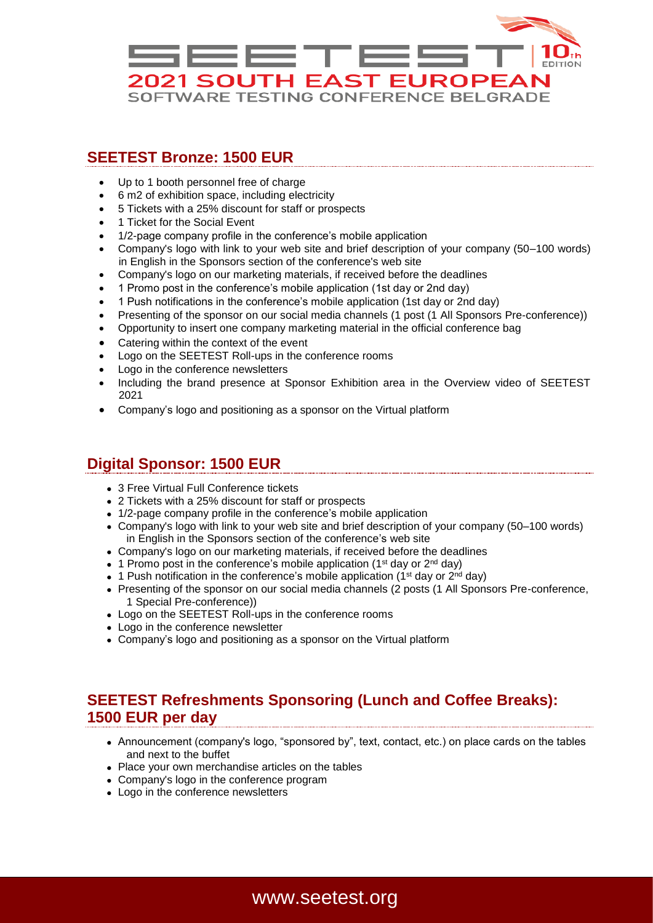

#### **SEETEST Bronze: 1500 EUR**

- Up to 1 booth personnel free of charge
- 6 m2 of exhibition space, including electricity
- 5 Tickets with a 25% discount for staff or prospects
- 1 Ticket for the Social Event
- 1/2-page company profile in the conference's mobile application
- Company's logo with link to your web site and brief description of your company (50–100 words) in English in the Sponsors section of the conference's web site
- Company's logo on our marketing materials, if received before the deadlines
- 1 Promo post in the conference's mobile application (1st day or 2nd day)
- 1 Push notifications in the conference's mobile application (1st day or 2nd day)
- Presenting of the sponsor on our social media channels (1 post (1 All Sponsors Pre-conference))
- Opportunity to insert one company marketing material in the official conference bag
- Catering within the context of the event
- Logo on the SEETEST Roll-ups in the conference rooms
- Logo in the conference newsletters
- Including the brand presence at Sponsor Exhibition area in the Overview video of SEETEST 2021
- Company's logo and positioning as a sponsor on the Virtual platform

### **Digital Sponsor: 1500 EUR**

- 3 Free Virtual Full Conference tickets
- 2 Tickets with a 25% discount for staff or prospects
- 1/2-page company profile in the conference's mobile application
- Company's logo with link to your web site and brief description of your company (50–100 words) in English in the Sponsors section of the conference's web site
- Company's logo on our marketing materials, if received before the deadlines
- 1 Promo post in the conference's mobile application ( $1<sup>st</sup>$  day or  $2<sup>nd</sup>$  day)
- 1 Push notification in the conference's mobile application (1<sup>st</sup> day or  $2^{nd}$  day)
- Presenting of the sponsor on our social media channels (2 posts (1 All Sponsors Pre-conference, 1 Special Pre-conference))
- Logo on the SEETEST Roll-ups in the conference rooms
- Logo in the conference newsletter
- Company's logo and positioning as a sponsor on the Virtual platform

## **SEETEST Refreshments Sponsoring (Lunch and Coffee Breaks): 1500 EUR per day**

- Announcement (company's logo, "sponsored by", text, contact, etc.) on place cards on the tables and next to the buffet
- Place your own merchandise articles on the tables
- Company's logo in the conference program
- Logo in the conference newsletters

# www.seetest.org